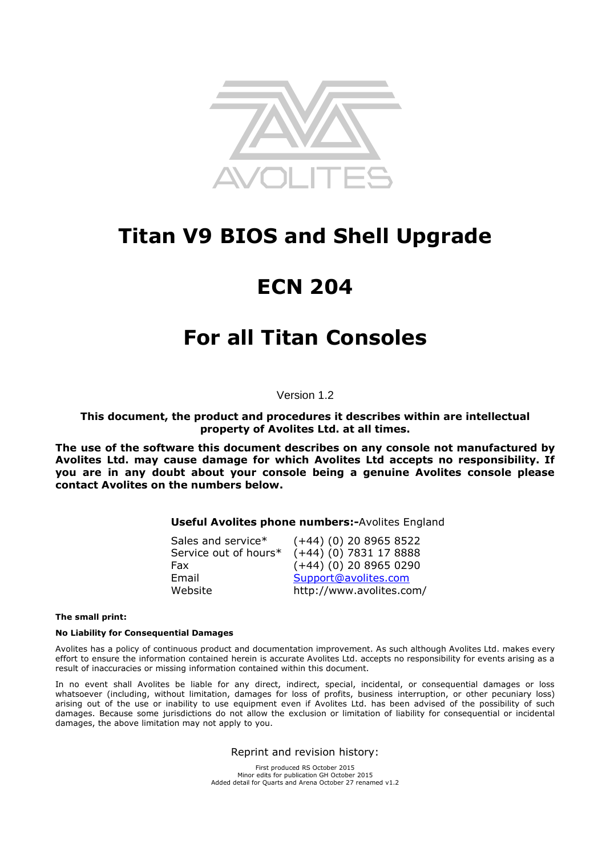

# **Titan V9 BIOS and Shell Upgrade**

# **ECN 204**

## **For all Titan Consoles**

Version 1.2

**This document, the product and procedures it describes within are intellectual property of Avolites Ltd. at all times.**

**The use of the software this document describes on any console not manufactured by Avolites Ltd. may cause damage for which Avolites Ltd accepts no responsibility. If you are in any doubt about your console being a genuine Avolites console please contact Avolites on the numbers below.**

#### **Useful Avolites phone numbers:-**Avolites England

| Sales and service*    | $(+44)$ (0) 20 8965 8522 |
|-----------------------|--------------------------|
| Service out of hours* | $(+44)$ (0) 7831 17 8888 |
| Fax                   | $(+44)$ (0) 20 8965 0290 |
| Email                 | Support@avolites.com     |
| Website               | http://www.avolites.com/ |

#### **The small print:**

#### **No Liability for Consequential Damages**

Avolites has a policy of continuous product and documentation improvement. As such although Avolites Ltd. makes every effort to ensure the information contained herein is accurate Avolites Ltd. accepts no responsibility for events arising as a result of inaccuracies or missing information contained within this document.

In no event shall Avolites be liable for any direct, indirect, special, incidental, or consequential damages or loss whatsoever (including, without limitation, damages for loss of profits, business interruption, or other pecuniary loss) arising out of the use or inability to use equipment even if Avolites Ltd. has been advised of the possibility of such damages. Because some jurisdictions do not allow the exclusion or limitation of liability for consequential or incidental damages, the above limitation may not apply to you.

Reprint and revision history:

First produced RS October 2015 Minor edits for publication GH October 2015 Added detail for Quarts and Arena October 27 renamed v1.2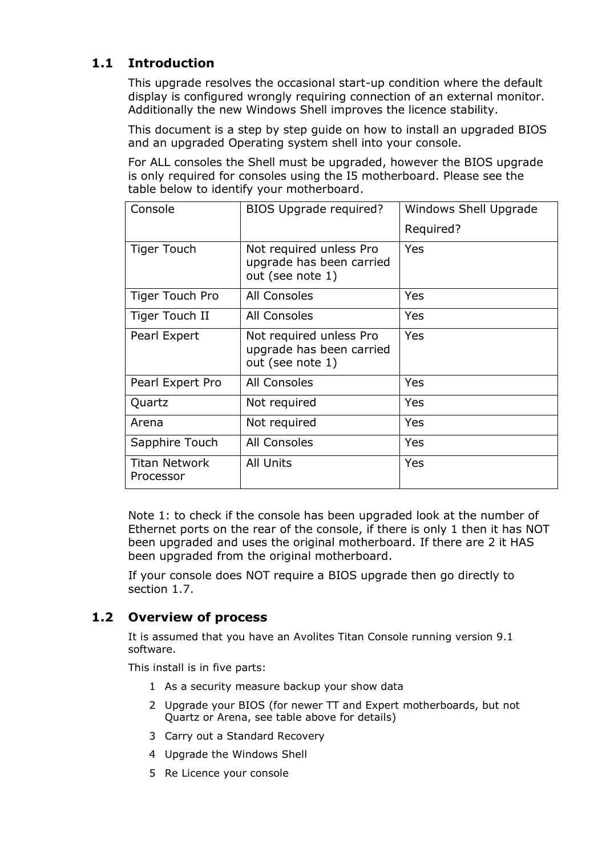## **1.1 Introduction**

This upgrade resolves the occasional start-up condition where the default display is configured wrongly requiring connection of an external monitor. Additionally the new Windows Shell improves the licence stability.

This document is a step by step guide on how to install an upgraded BIOS and an upgraded Operating system shell into your console.

For ALL consoles the Shell must be upgraded, however the BIOS upgrade is only required for consoles using the I5 motherboard. Please see the table below to identify your motherboard.

| Console                    | BIOS Upgrade required?                                                  | Windows Shell Upgrade<br>Required? |
|----------------------------|-------------------------------------------------------------------------|------------------------------------|
| <b>Tiger Touch</b>         | Not required unless Pro<br>upgrade has been carried<br>out (see note 1) | Yes                                |
| Tiger Touch Pro            | All Consoles                                                            | Yes                                |
| Tiger Touch II             | All Consoles                                                            | Yes                                |
| Pearl Expert               | Not required unless Pro<br>upgrade has been carried<br>out (see note 1) | Yes                                |
| Pearl Expert Pro           | All Consoles                                                            | Yes                                |
| Quartz                     | Not required                                                            | Yes                                |
| Arena                      | Not required                                                            | Yes                                |
| Sapphire Touch             | All Consoles                                                            | Yes                                |
| Titan Network<br>Processor | All Units                                                               | Yes                                |

Note 1: to check if the console has been upgraded look at the number of Ethernet ports on the rear of the console, if there is only 1 then it has NOT been upgraded and uses the original motherboard. If there are 2 it HAS been upgraded from the original motherboard.

If your console does NOT require a BIOS upgrade then go directly to section [1.7.](#page-5-0)

## **1.2 Overview of process**

It is assumed that you have an Avolites Titan Console running version 9.1 software.

This install is in five parts:

- 1 As a security measure backup your show data
- 2 Upgrade your BIOS (for newer TT and Expert motherboards, but not Quartz or Arena, see table above for details)
- 3 Carry out a Standard Recovery
- 4 Upgrade the Windows Shell
- 5 Re Licence your console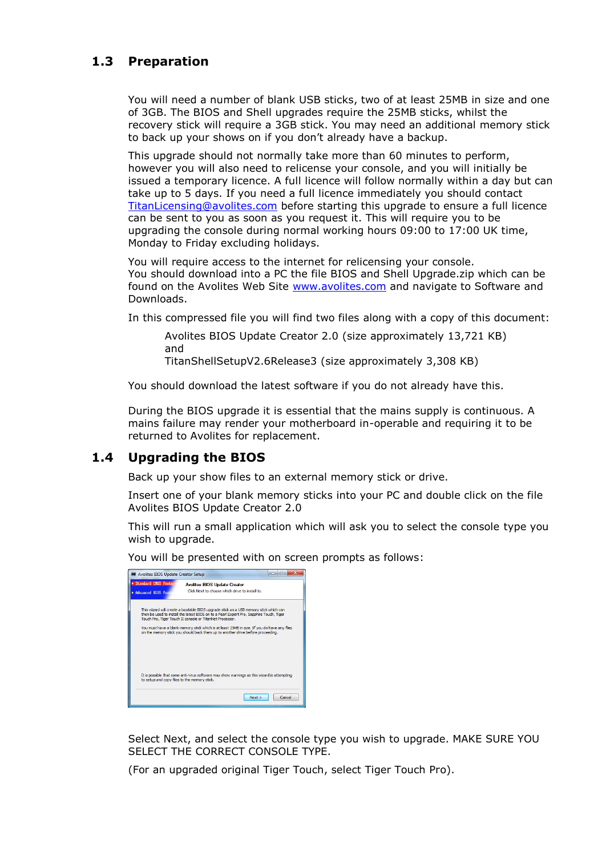### **1.3 Preparation**

You will need a number of blank USB sticks, two of at least 25MB in size and one of 3GB. The BIOS and Shell upgrades require the 25MB sticks, whilst the recovery stick will require a 3GB stick. You may need an additional memory stick to back up your shows on if you don't already have a backup.

This upgrade should not normally take more than 60 minutes to perform, however you will also need to relicense your console, and you will initially be issued a temporary licence. A full licence will follow normally within a day but can take up to 5 days. If you need a full licence immediately you should contact [TitanLicensing@avolites.com](mailto:TitanLicensing@avolites.com) before starting this upgrade to ensure a full licence can be sent to you as soon as you request it. This will require you to be upgrading the console during normal working hours 09:00 to 17:00 UK time, Monday to Friday excluding holidays.

You will require access to the internet for relicensing your console. You should download into a PC the file BIOS and Shell Upgrade.zip which can be found on the Avolites Web Site [www.avolites.com](http://www.avolites.com/) and navigate to Software and Downloads.

In this compressed file you will find two files along with a copy of this document:

Avolites BIOS Update Creator 2.0 (size approximately 13,721 KB) and

TitanShellSetupV2.6Release3 (size approximately 3,308 KB)

You should download the latest software if you do not already have this.

During the BIOS upgrade it is essential that the mains supply is continuous. A mains failure may render your motherboard in-operable and requiring it to be returned to Avolites for replacement.

### **1.4 Upgrading the BIOS**

Back up your show files to an external memory stick or drive.

Insert one of your blank memory sticks into your PC and double click on the file Avolites BIOS Update Creator 2.0

This will run a small application which will ask you to select the console type you wish to upgrade.

You will be presented with on screen prompts as follows:

| Avolites BIOS Update Creator Setup            |                                                                                                                                                                                                                                              |
|-----------------------------------------------|----------------------------------------------------------------------------------------------------------------------------------------------------------------------------------------------------------------------------------------------|
| Standard CMOS Feature<br>▶ Advanced BIOS Feat | <b>Avolites BIOS Update Creator</b><br>Click Next to choose which drive to install to.                                                                                                                                                       |
|                                               | This wizard will create a bootable BIOS upgrade stick on a USB memory stick which can<br>then be used to install the latest BIOS on to a Pearl Expert Pro, Sapphire Touch, Tiger<br>Touch Pro, Tiger Touch II console or TitanNet Processor. |
|                                               | You must have a blank memory stick which is at least 25MB in size. If you do have any files<br>on the memory stick you should back them up to another drive before proceeding.                                                               |
|                                               |                                                                                                                                                                                                                                              |
| to setup and copy files to the memory stick.  | It is possible that some anti-virus software may show warnings as this wizard is attempting                                                                                                                                                  |
|                                               | Next ><br>Cancel                                                                                                                                                                                                                             |

Select Next, and select the console type you wish to upgrade. MAKE SURE YOU SELECT THE CORRECT CONSOLE TYPE.

(For an upgraded original Tiger Touch, select Tiger Touch Pro).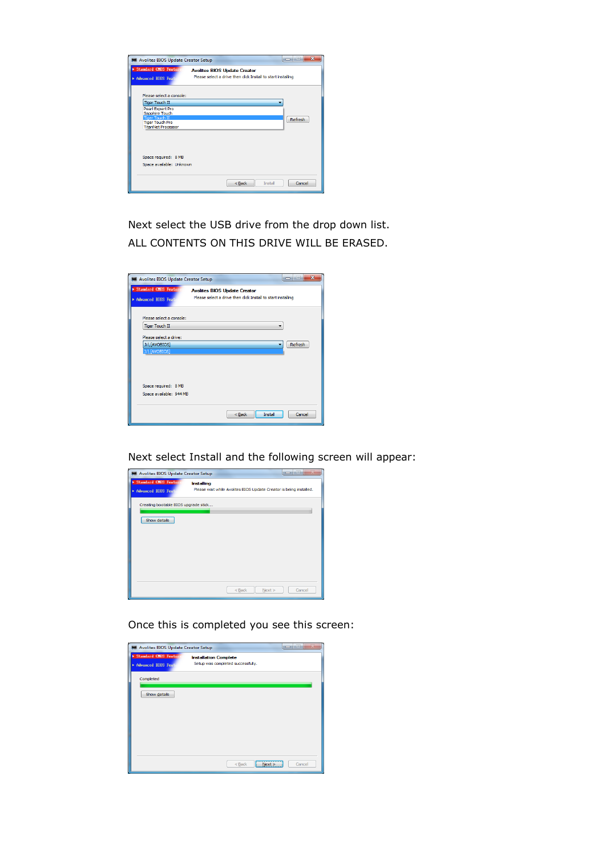| Avolites BIOS Update Creator Setup                 |                                                                                                     | ж<br>and and<br>$\Box$ |
|----------------------------------------------------|-----------------------------------------------------------------------------------------------------|------------------------|
| Standard CMOS Feature<br><b>Advanced BIOS Feat</b> | <b>Avolites BIOS Update Creator</b><br>Please select a drive then click Install to start installing |                        |
| Please select a console:                           |                                                                                                     |                        |
| <b>Tiger Touch II</b>                              |                                                                                                     |                        |
| Pearl Expert Pro<br>Sapphire Touch                 |                                                                                                     |                        |
| <b>Tiger Touch II</b><br><b>Tiger Touch Pro</b>    |                                                                                                     | Refresh                |
| <b>TitanNet Processor</b>                          |                                                                                                     |                        |
| Space required: 8 MB<br>Space available: Unknown   |                                                                                                     |                        |
|                                                    | Install<br>$8$ Back                                                                                 | Cancel                 |

Next select the USB drive from the drop down list. ALL CONTENTS ON THIS DRIVE WILL BE ERASED.

| Avolites BIOS Update Creator Setup                |                                                                                                     | $\overline{\mathbf{x}}$<br>$=$<br>$\Box$ |
|---------------------------------------------------|-----------------------------------------------------------------------------------------------------|------------------------------------------|
| Standard CMOS Feature<br>▶ Advanced BIOS Feat     | <b>Avolites BIOS Update Creator</b><br>Please select a drive then click Install to start installing |                                          |
| Please select a console:<br><b>Tiger Touch II</b> |                                                                                                     |                                          |
| Please select a drive:                            |                                                                                                     |                                          |
| J:\[AVOBIOS]<br>J:\[AVOBIOS]                      |                                                                                                     | Refresh                                  |
| Space required: 8 MB<br>Space available: 944 MB   |                                                                                                     |                                          |
|                                                   | Install<br>$<$ Back                                                                                 | Cancel                                   |

Next select Install and the following screen will appear:

| Avolites BIOS Update Creator Setup                            | المارات                                                                          |
|---------------------------------------------------------------|----------------------------------------------------------------------------------|
| <b>Standard CMOS Featur</b><br>ь<br><b>Advanced BIOS Feat</b> | Installing<br>Please wait while Avolites BIOS Update Creator is being installed. |
| Creating bootable BIOS upgrade stick                          |                                                                                  |
| Show details                                                  |                                                                                  |
|                                                               |                                                                                  |
|                                                               |                                                                                  |
|                                                               |                                                                                  |
|                                                               | Next<br>Cancel<br>$<$ Back                                                       |

Once this is completed you see this screen:

| Avolites BIOS Update Creator Setup           |                                                                   | هن<br>$\blacksquare$ |
|----------------------------------------------|-------------------------------------------------------------------|----------------------|
| Standard CMOS Featur<br>▶ Advanced BIOS Feat | <b>Installation Complete</b><br>Setup was completed successfully. |                      |
| Completed                                    |                                                                   |                      |
| Show details                                 |                                                                   |                      |
|                                              |                                                                   |                      |
|                                              |                                                                   |                      |
|                                              |                                                                   |                      |
|                                              | $<$ Back<br>Next                                                  | Cancel               |
|                                              |                                                                   |                      |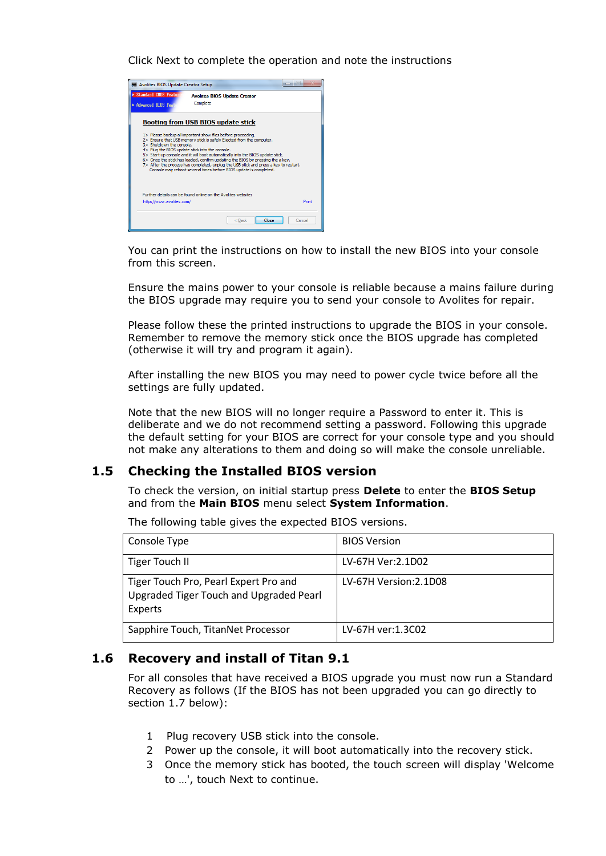Click Next to complete the operation and note the instructions



You can print the instructions on how to install the new BIOS into your console from this screen.

Ensure the mains power to your console is reliable because a mains failure during the BIOS upgrade may require you to send your console to Avolites for repair.

Please follow these the printed instructions to upgrade the BIOS in your console. Remember to remove the memory stick once the BIOS upgrade has completed (otherwise it will try and program it again).

After installing the new BIOS you may need to power cycle twice before all the settings are fully updated.

Note that the new BIOS will no longer require a Password to enter it. This is deliberate and we do not recommend setting a password. Following this upgrade the default setting for your BIOS are correct for your console type and you should not make any alterations to them and doing so will make the console unreliable.

### **1.5 Checking the Installed BIOS version**

To check the version, on initial startup press **Delete** to enter the **BIOS Setup** and from the **Main BIOS** menu select **System Information**.

| Console Type                                                                                | <b>BIOS Version</b>    |
|---------------------------------------------------------------------------------------------|------------------------|
| Tiger Touch II                                                                              | LV-67H Ver:2.1D02      |
| Tiger Touch Pro, Pearl Expert Pro and<br>Upgraded Tiger Touch and Upgraded Pearl<br>Experts | LV-67H Version: 2.1D08 |
| Sapphire Touch, TitanNet Processor                                                          | LV-67H ver:1.3C02      |

The following table gives the expected BIOS versions.

### **1.6 Recovery and install of Titan 9.1**

For all consoles that have received a BIOS upgrade you must now run a Standard Recovery as follows (If the BIOS has not been upgraded you can go directly to section [1.7](#page-5-0) below):

- 1 Plug recovery USB stick into the console.
- 2 Power up the console, it will boot automatically into the recovery stick.
- 3 Once the memory stick has booted, the touch screen will display 'Welcome to …', touch Next to continue.